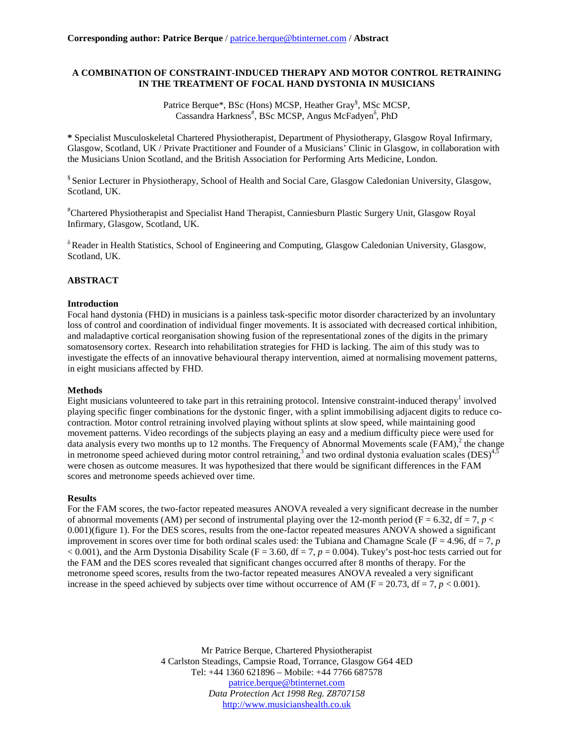## **A COMBINATION OF CONSTRAINT-INDUCED THERAPY AND MOTOR CONTROL RETRAINING IN THE TREATMENT OF FOCAL HAND DYSTONIA IN MUSICIANS**

Patrice Berque\*, BSc (Hons) MCSP, Heather Gray<sup>§</sup>, MSc MCSP, Cassandra Harkness<sup>#</sup>, BSc MCSP, Angus McFadyen<sup>8</sup>, PhD

**\*** Specialist Musculoskeletal Chartered Physiotherapist, Department of Physiotherapy, Glasgow Royal Infirmary, Glasgow, Scotland, UK / Private Practitioner and Founder of a Musicians' Clinic in Glasgow, in collaboration with the Musicians Union Scotland, and the British Association for Performing Arts Medicine, London.

§ Senior Lecturer in Physiotherapy, School of Health and Social Care, Glasgow Caledonian University, Glasgow, Scotland, UK.

# Chartered Physiotherapist and Specialist Hand Therapist, Canniesburn Plastic Surgery Unit, Glasgow Royal Infirmary, Glasgow, Scotland, UK.

 $\delta$  Reader in Health Statistics, School of Engineering and Computing, Glasgow Caledonian University, Glasgow, Scotland, UK.

## **ABSTRACT**

## **Introduction**

Focal hand dystonia (FHD) in musicians is a painless task-specific motor disorder characterized by an involuntary loss of control and coordination of individual finger movements. It is associated with decreased cortical inhibition, and maladaptive cortical reorganisation showing fusion of the representational zones of the digits in the primary somatosensory cortex. Research into rehabilitation strategies for FHD is lacking. The aim of this study was to investigate the effects of an innovative behavioural therapy intervention, aimed at normalising movement patterns, in eight musicians affected by FHD.

#### **Methods**

Eight musicians volunteered to take part in this retraining protocol. Intensive constraint-induced therapy<sup>1</sup> involved playing specific finger combinations for the dystonic finger, with a splint immobilising adjacent digits to reduce cocontraction. Motor control retraining involved playing without splints at slow speed, while maintaining good movement patterns. Video recordings of the subjects playing an easy and a medium difficulty piece were used for data analysis every two months up to 12 months. The Frequency of Abnormal Movements scale (FAM), $^2$  the change in metronome speed achieved during motor control retraining,<sup>3</sup> and two ordinal dystonia evaluation scales (DES)<sup>4,5</sup> were chosen as outcome measures. It was hypothesized that there would be significant differences in the FAM scores and metronome speeds achieved over time.

#### **Results**

For the FAM scores, the two-factor repeated measures ANOVA revealed a very significant decrease in the number of abnormal movements (AM) per second of instrumental playing over the 12-month period ( $F = 6.32$ ,  $df = 7$ ,  $p <$ 0.001)(figure 1). For the DES scores, results from the one-factor repeated measures ANOVA showed a significant improvement in scores over time for both ordinal scales used: the Tubiana and Chamagne Scale ( $F = 4.96$ ,  $df = 7$ , *p*  $< 0.001$ ), and the Arm Dystonia Disability Scale (F = 3.60, df = 7,  $p = 0.004$ ). Tukey's post-hoc tests carried out for the FAM and the DES scores revealed that significant changes occurred after 8 months of therapy. For the metronome speed scores, results from the two-factor repeated measures ANOVA revealed a very significant increase in the speed achieved by subjects over time without occurrence of AM ( $F = 20.73$ ,  $df = 7$ ,  $p < 0.001$ ).

> Mr Patrice Berque, Chartered Physiotherapist 4 Carlston Steadings, Campsie Road, Torrance, Glasgow G64 4ED Tel: +44 1360 621896 – Mobile: +44 7766 687578 [patrice.berque@btinternet.com](mailto:patrice.berque@btinternet.com) *Data Protection Act 1998 Reg. Z8707158* [http://www.musicianshealth.co.uk](http://www.musicianshealth.co.uk/)